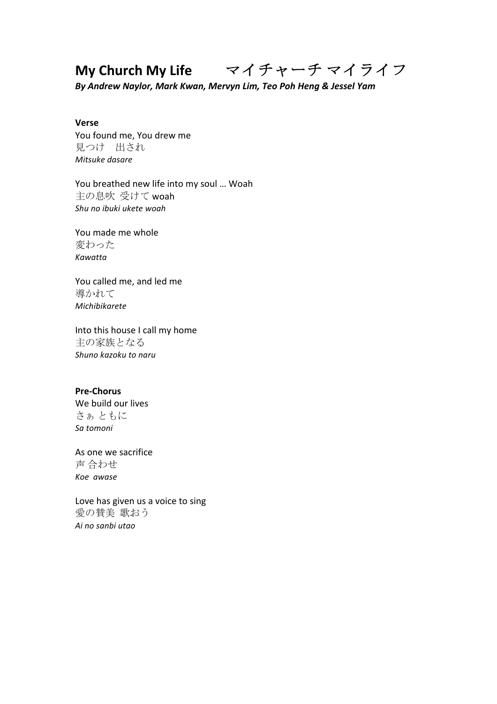# **My Church My Life** マイチャーチ マイライフ

*By Andrew Naylor, Mark Kwan, Mervyn Lim, Teo Poh Heng & Jessel Yam*

## **Verse**

You found me, You drew me 見つけ 出され *Mitsuke dasare*

You breathed new life into my soul ... Woah 主の息吹 受けて woah *Shu no ibuki ukete woah*

You made me whole 変わった *Kawatta*

You called me, and led me 導かれて *Michibikarete*

Into this house I call my home 主の家族となる *Shuno kazoku to naru*

#### **Pre-Chorus**

We build our lives さぁ ともに *Sa tomoni*

As one we sacrifice 声 合わせ *Koe awase*

Love has given us a voice to sing 愛の賛美 歌おう *Ai no sanbi utao*